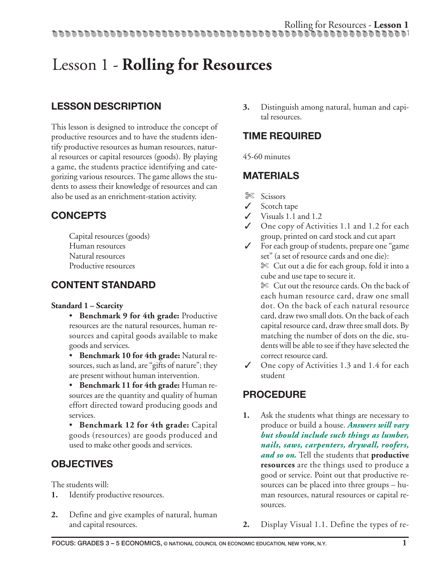### **LESSON DESCRIPTION**

This lesson is designed to introduce the concept of productive resources and to have the students identify productive resources as human resources, natural resources or capital resources (goods). By playing a game, the students practice identifying and categorizing various resources. The game allows the students to assess their knowledge of resources and can also be used as an enrichment-station activity.

### **CONCEPTS**

Capital resources (goods) Human resources Natural resources Productive resources

### **CONTENT STANDARD**

#### **Standard 1 – Scarcity**

- **Benchmark 9 for 4th grade:** Productive resources are the natural resources, human resources and capital goods available to make goods and services.
- **Benchmark 10 for 4th grade:** Natural resources, such as land, are "gifts of nature"; they are present without human intervention.
- **Benchmark 11 for 4th grade:** Human resources are the quantity and quality of human effort directed toward producing goods and services.
- **Benchmark 12 for 4th grade:** Capital goods (resources) are goods produced and used to make other goods and services.

### **OBJECTIVES**

The students will:

- **1.** Identify productive resources.
- **2.** Define and give examples of natural, human and capital resources.

**3.** Distinguish among natural, human and capital resources.

### **TIME REQUIRED**

45-60 minutes

### **MATERIALS**

- ✄ Scissors
- ✓ Scotch tape
- ✓ Visuals 1.1 and 1.2
- ✓ One copy of Activities 1.1 and 1.2 for each group, printed on card stock and cut apart
- ✓ For each group of students, prepare one "game set" (a set of resource cards and one die): ✄ Cut out a die for each group, fold it into a cube and use tape to secure it.

✄ Cut out the resource cards. On the back of each human resource card, draw one small dot. On the back of each natural resource card, draw two small dots. On the back of each capital resource card, draw three small dots. By matching the number of dots on the die, students will be able to see if they have selected the correct resource card.

✓ One copy of Activities 1.3 and 1.4 for each student

### **PROCEDURE**

- **1.** Ask the students what things are necessary to produce or build a house. *Answers will vary but should include such things as lumber, nails, saws, carpenters, drywall, roofers, and so on.* Tell the students that **productive resources** are the things used to produce a good or service. Point out that productive resources can be placed into three groups – human resources, natural resources or capital resources.
- **2.** Display Visual 1.1. Define the types of re-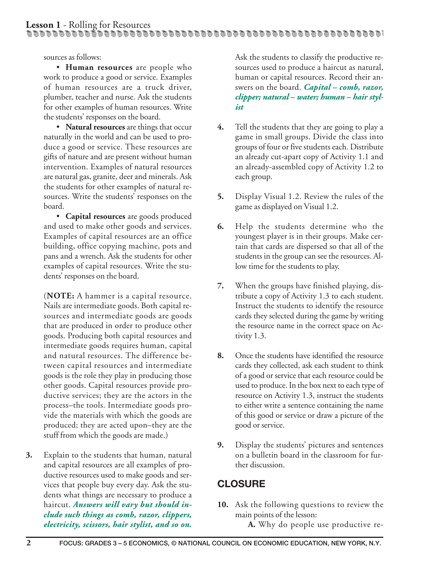sources as follows:

• **Human resources** are people who work to produce a good or service. Examples of human resources are a truck driver, plumber, teacher and nurse. Ask the students for other examples of human resources. Write the students' responses on the board.

• **Natural resources** are things that occur naturally in the world and can be used to produce a good or service. These resources are gifts of nature and are present without human intervention. Examples of natural resources are natural gas, granite, deer and minerals. Ask the students for other examples of natural resources. Write the students' responses on the board.

• **Capital resources** are goods produced and used to make other goods and services. Examples of capital resources are an office building, office copying machine, pots and pans and a wrench. Ask the students for other examples of capital resources. Write the students' responses on the board.

(**NOTE:** A hammer is a capital resource. Nails are intermediate goods. Both capital resources and intermediate goods are goods that are produced in order to produce other goods. Producing both capital resources and intermediate goods requires human, capital and natural resources. The difference between capital resources and intermediate goods is the role they play in producing those other goods. Capital resources provide productive services; they are the actors in the process–the tools. Intermediate goods provide the materials with which the goods are produced; they are acted upon–they are the stuff from which the goods are made.)

**3.** Explain to the students that human, natural and capital resources are all examples of productive resources used to make goods and services that people buy every day. Ask the students what things are necessary to produce a haircut. *Answers will vary but should include such things as comb, razor, clippers, electricity, scissors, hair stylist, and so on.*

Ask the students to classify the productive resources used to produce a haircut as natural, human or capital resources. Record their answers on the board. *Capital – comb, razor, clipper; natural – water; human – hair stylist*

- **4.** Tell the students that they are going to play a game in small groups. Divide the class into groups of four or five students each. Distribute an already cut-apart copy of Activity 1.1 and an already-assembled copy of Activity 1.2 to each group.
- **5.** Display Visual 1.2. Review the rules of the game as displayed on Visual 1.2.
- **6.** Help the students determine who the youngest player is in their groups. Make certain that cards are dispersed so that all of the students in the group can see the resources. Allow time for the students to play.
- **7.** When the groups have finished playing, distribute a copy of Activity 1.3 to each student. Instruct the students to identify the resource cards they selected during the game by writing the resource name in the correct space on Activity 1.3.
- **8.** Once the students have identified the resource cards they collected, ask each student to think of a good or service that each resource could be used to produce. In the box next to each type of resource on Activity 1.3, instruct the students to either write a sentence containing the name of this good or service or draw a picture of the good or service.
- **9.** Display the students' pictures and sentences on a bulletin board in the classroom for further discussion.

### **CLOSURE**

**10.** Ask the following questions to review the main points of the lesson:

**A.** Why do people use productive re-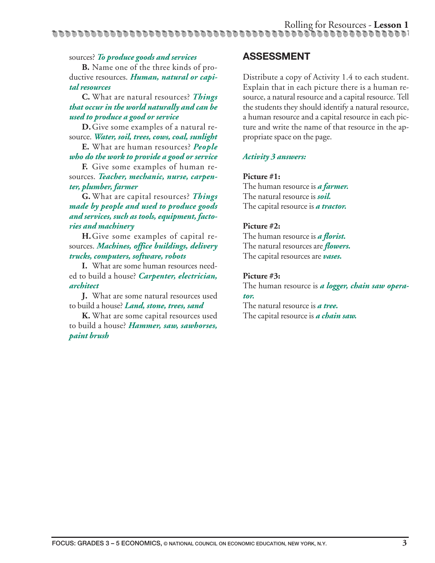#### sources? *To produce goods and services*

**B.** Name one of the three kinds of productive resources. *Human, natural or capital resources*

**C.** What are natural resources? *Things that occur in the world naturally and can be used to produce a good or service*

**D.**Give some examples of a natural resource. *Water, soil, trees, cows, coal, sunlight*

**E.** What are human resources? *People who do the work to provide a good or service*

**F.** Give some examples of human resources. *Teacher, mechanic, nurse, carpenter, plumber, farmer*

**G.** What are capital resources? *Things made by people and used to produce goods and services, such as tools, equipment, factories and machinery*

**H.**Give some examples of capital resources. *Machines, office buildings, delivery trucks, computers, software, robots*

**I.** What are some human resources needed to build a house? *Carpenter, electrician, architect*

**J.** What are some natural resources used to build a house? *Land, stone, trees, sand*

**K.** What are some capital resources used to build a house? *Hammer, saw, sawhorses, paint brush*

#### **ASSESSMENT**

Distribute a copy of Activity 1.4 to each student. Explain that in each picture there is a human resource, a natural resource and a capital resource. Tell the students they should identify a natural resource, a human resource and a capital resource in each picture and write the name of that resource in the appropriate space on the page.

#### *Activity 3 answers:*

#### **Picture #1:**

The human resource is *a farmer.* The natural resource is *soil.* The capital resource is *a tractor.*

#### **Picture #2:**

The human resource is *a florist.* The natural resources are *flowers.* The capital resources are *vases.*

#### **Picture #3:**

The human resource is *a logger, chain saw operator.*

The natural resource is *a tree.* The capital resource is *a chain saw.*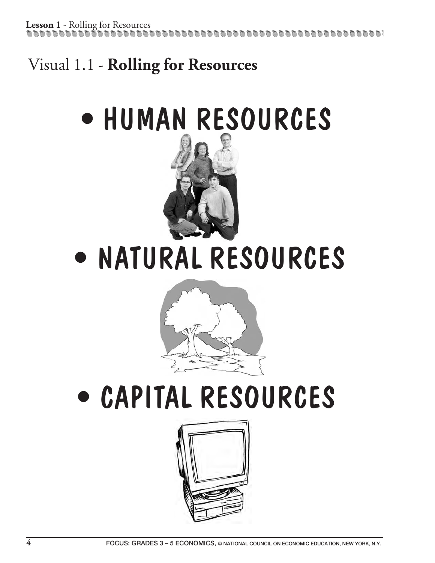Lesson 1 - Rolling for Resources 1666 A 666 A 666 A 666 A 666 A 666 A

# Visual 1.1 - **Rolling for Resources**

# • HUMAN RESOURCES



• NATURAL RESOURCES



# • CAPITAL RESOURCES

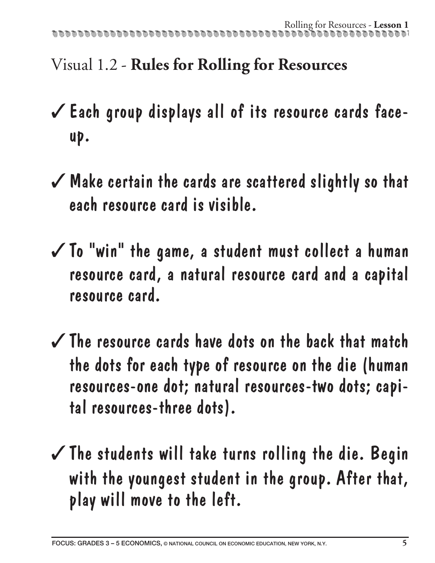# Visual 1.2 - **Rules for Rolling for Resources**

- ✓Each group displays all of its resource cards faceup.
- ✓Make certain the cards are scattered slightly so that each resource card is visible.
- $\checkmark$  To "win" the game, a student must collect a human resource card, a natural resource card and a capital resource card.
- ✓The resource cards have dots on the back that match the dots for each type of resource on the die (human resources-one dot; natural resources-two dots; capital resources-three dots).
- $\checkmark$  The students will take turns rolling the die. Begin with the youngest student in the group. After that, play will move to the left.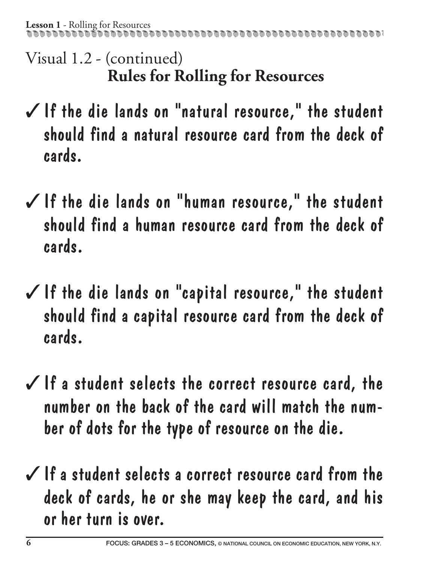Visual 1.2 - (continued) **Rules for Rolling for Resources**

- ✓If the die lands on "natural resource," the student should find a natural resource card from the deck of cards.
- ✓If the die lands on "human resource," the student should find a human resource card from the deck of cards.
- $\checkmark$  If the die lands on "capital resource," the student should find a capital resource card from the deck of cards.
- $\checkmark$  If a student selects the correct resource card, the number on the back of the card will match the number of dots for the type of resource on the die.
- $\checkmark$  If a student selects a correct resource card from the deck of cards, he or she may keep the card, and his or her turn is over.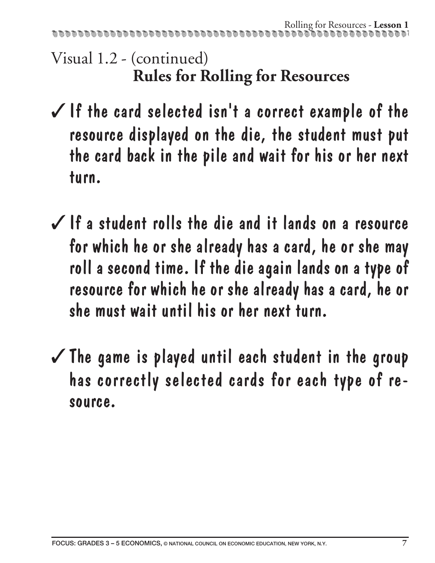Visual 1.2 - (continued) **Rules for Rolling for Resources**

- $\checkmark$  If the card selected isn't a correct example of the resource displayed on the die, the student must put the card back in the pile and wait for his or her next turn.
- $\checkmark$  If a student rolls the die and it lands on a resource for which he or she already has a card, he or she may roll a second time. If the die again lands on a type of resource for which he or she already has a card, he or she must wait until his or her next turn.
- $\checkmark$  The game is played until each student in the group has correctly selected cards for each type of resource.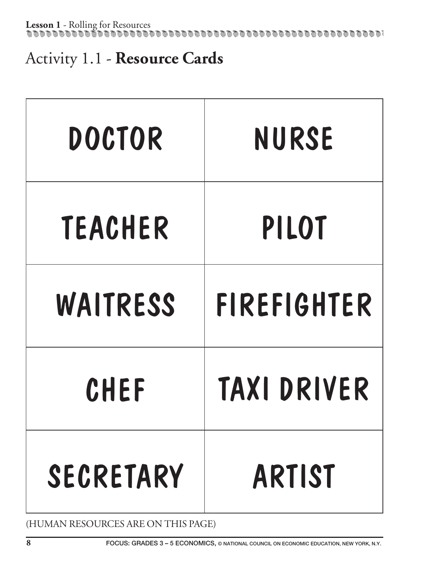Activity 1.1 - **Resource Cards**

| <b>DOCTOR</b> | <b>NURSE</b>       |
|---------------|--------------------|
| TEACHER       | PILOT              |
| WAITRESS      | <b>FIREFIGHTER</b> |
| CHEF          | <b>TAXI DRIVER</b> |
| SECRETARY     | <b>ARTIST</b>      |

(HUMAN RESOURCES ARE ON THIS PAGE)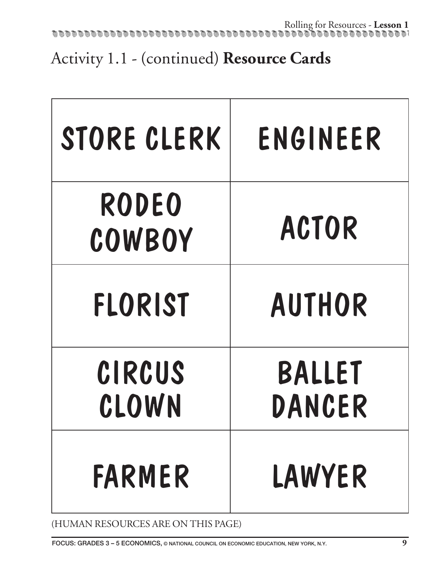Activity 1.1 - (continued) **Resource Cards** 

| STORE CLERK            | ENGINEER         |
|------------------------|------------------|
| <b>RODEO</b><br>COWBOY | <b>ACTOR</b>     |
| <b>FLORIST</b>         | <b>AUTHOR</b>    |
| CIRCUS<br>CLOWN        | BALLET<br>DANCER |
| <b>FARMER</b>          | LAWYER           |

(HUMAN RESOURCES ARE ON THIS PAGE)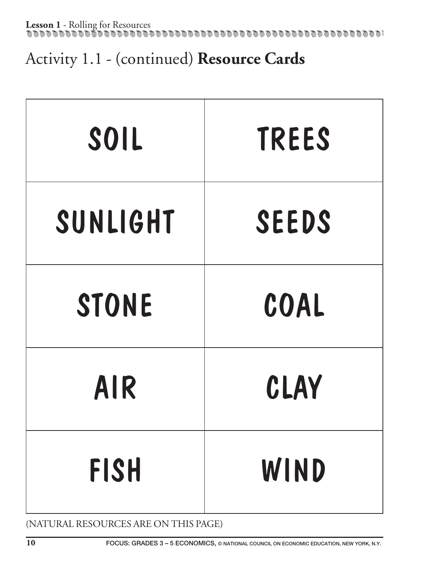# Activity 1.1 - (continued) **Resource Cards**

| SOIL         | <b>TREES</b> |
|--------------|--------------|
| SUNLIGHT     | <b>SEEDS</b> |
| <b>STONE</b> | COAL         |
| <b>AIR</b>   | CLAY         |
| <b>FISH</b>  | WIND         |

(NATURAL RESOURCES ARE ON THIS PAGE)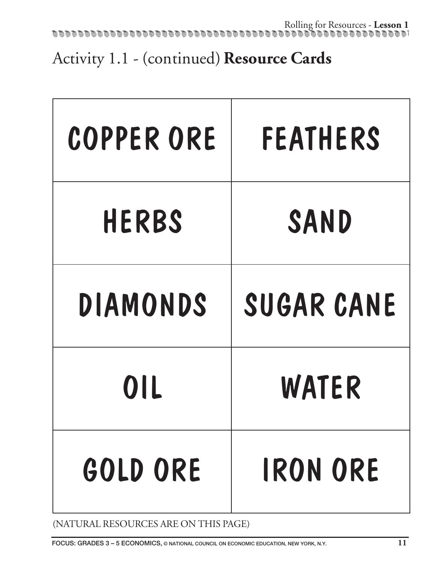Activity 1.1 - (continued) **Resource Cards**

| <b>COPPER ORE</b> | <b>FEATHERS</b> |
|-------------------|-----------------|
| <b>HERBS</b>      | SAND            |
| DIAMONDS          | SUGAR CANE      |
| 0IL               | WATER           |
| GOLD ORE          | <b>IRON ORE</b> |

(NATURAL RESOURCES ARE ON THIS PAGE)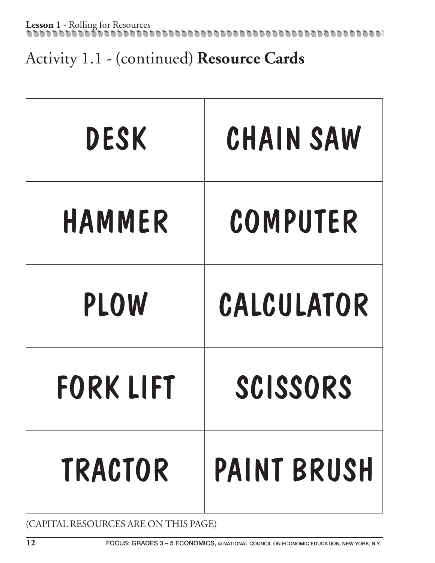Activity 1.1 - (continued) **Resource Cards** 

| <b>DESK</b>      | CHAIN SAW          |
|------------------|--------------------|
| HAMMER           | COMPUTER           |
| <b>PLOW</b>      | CALCULATOR         |
| <b>FORK LIFT</b> | SCISSORS           |
| <b>TRACTOR</b>   | <b>PAINT BRUSH</b> |

(CAPITAL RESOURCES ARE ON THIS PAGE)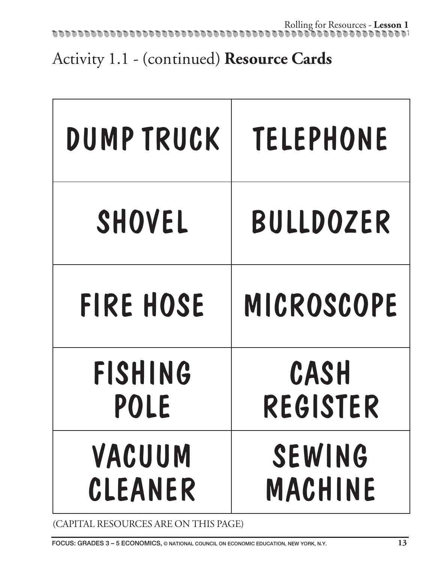Activity 1.1 - (continued) **Resource Cards** 

| DUMP TRUCK       | <b>TELEPHONE</b> |
|------------------|------------------|
| SHOVEL           | <b>BULLDOZER</b> |
| <b>FIRE HOSE</b> | MICROSCOPE       |
| <b>FISHING</b>   | CASH             |
| POLE             | REGISTER         |
| VACUUM           | <b>SEWING</b>    |
| CLEANER          | MACHINE          |

(CAPITAL RESOURCES ARE ON THIS PAGE)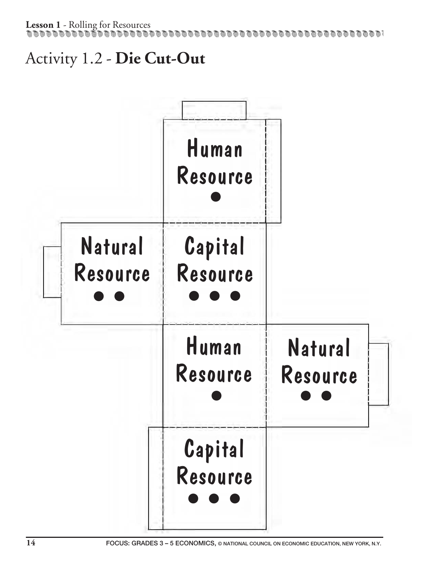## Activity 1.2 - **Die Cut-Out**

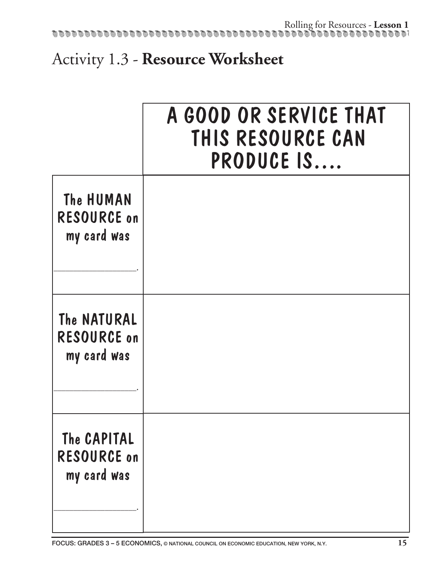# Activity 1.3 - **Resource Worksheet**

|                                                  | A GOOD OR SERVICE THAT<br>THIS RESOURCE CAN<br>PRODUCE IS |
|--------------------------------------------------|-----------------------------------------------------------|
| The HUMAN<br><b>RESOURCE on</b><br>my card was   |                                                           |
| The NATURAL<br><b>RESOURCE on</b><br>my card was |                                                           |
| The CAPITAL<br><b>RESOURCE on</b><br>my card was |                                                           |